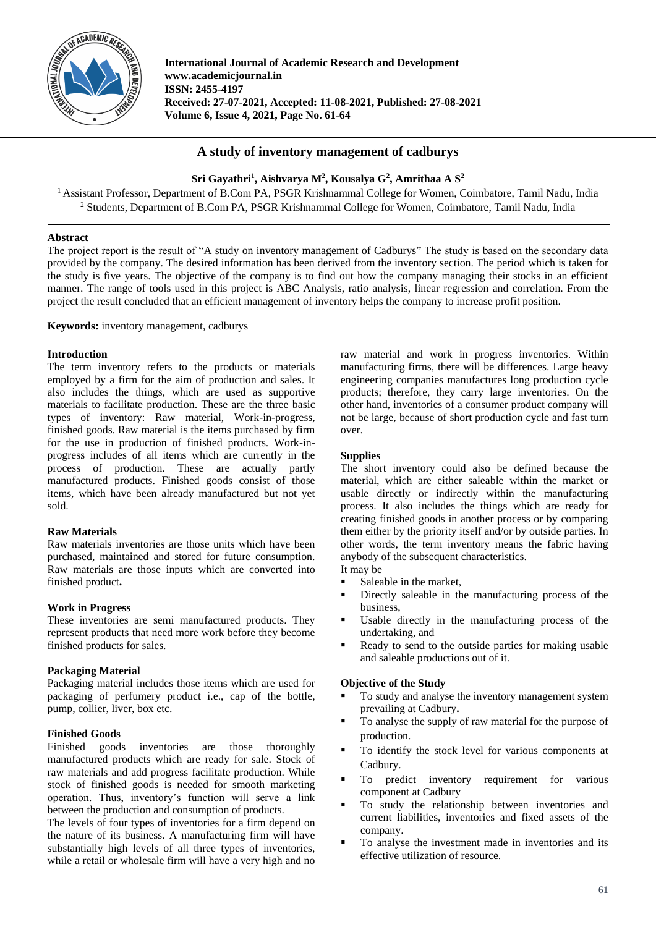

**International Journal of Academic Research and Development www.academicjournal.in ISSN: 2455-4197 Received: 27-07-2021, Accepted: 11-08-2021, Published: 27-08-2021 Volume 6, Issue 4, 2021, Page No. 61-64**

# **A study of inventory management of cadburys**

**Sri Gayathri<sup>1</sup> , Aishvarya M<sup>2</sup> , Kousalya G<sup>2</sup> , Amrithaa A S<sup>2</sup>**

<sup>1</sup> Assistant Professor, Department of B.Com PA, PSGR Krishnammal College for Women, Coimbatore, Tamil Nadu, India <sup>2</sup> Students, Department of B.Com PA, PSGR Krishnammal College for Women, Coimbatore, Tamil Nadu, India

# **Abstract**

The project report is the result of "A study on inventory management of Cadburys" The study is based on the secondary data provided by the company. The desired information has been derived from the inventory section. The period which is taken for the study is five years. The objective of the company is to find out how the company managing their stocks in an efficient manner. The range of tools used in this project is ABC Analysis, ratio analysis, linear regression and correlation. From the project the result concluded that an efficient management of inventory helps the company to increase profit position.

**Keywords:** inventory management, cadburys

# **Introduction**

The term inventory refers to the products or materials employed by a firm for the aim of production and sales. It also includes the things, which are used as supportive materials to facilitate production. These are the three basic types of inventory: Raw material, Work-in-progress, finished goods. Raw material is the items purchased by firm for the use in production of finished products. Work-inprogress includes of all items which are currently in the process of production. These are actually partly manufactured products. Finished goods consist of those items, which have been already manufactured but not yet sold.

## **Raw Materials**

Raw materials inventories are those units which have been purchased, maintained and stored for future consumption. Raw materials are those inputs which are converted into finished product**.**

## **Work in Progress**

These inventories are semi manufactured products. They represent products that need more work before they become finished products for sales.

# **Packaging Material**

Packaging material includes those items which are used for packaging of perfumery product i.e., cap of the bottle, pump, collier, liver, box etc.

## **Finished Goods**

Finished goods inventories are those thoroughly manufactured products which are ready for sale. Stock of raw materials and add progress facilitate production. While stock of finished goods is needed for smooth marketing operation. Thus, inventory's function will serve a link between the production and consumption of products.

The levels of four types of inventories for a firm depend on the nature of its business. A manufacturing firm will have substantially high levels of all three types of inventories, while a retail or wholesale firm will have a very high and no

raw material and work in progress inventories. Within manufacturing firms, there will be differences. Large heavy engineering companies manufactures long production cycle products; therefore, they carry large inventories. On the other hand, inventories of a consumer product company will not be large, because of short production cycle and fast turn over.

## **Supplies**

The short inventory could also be defined because the material, which are either saleable within the market or usable directly or indirectly within the manufacturing process. It also includes the things which are ready for creating finished goods in another process or by comparing them either by the priority itself and/or by outside parties. In other words, the term inventory means the fabric having anybody of the subsequent characteristics.

- It may be
- Saleable in the market,
- Directly saleable in the manufacturing process of the business,
- Usable directly in the manufacturing process of the undertaking, and
- Ready to send to the outside parties for making usable and saleable productions out of it.

## **Objective of the Study**

- To study and analyse the inventory management system prevailing at Cadbury**.**
- To analyse the supply of raw material for the purpose of production.
- To identify the stock level for various components at Cadbury.
- To predict inventory requirement for various component at Cadbury
- To study the relationship between inventories and current liabilities, inventories and fixed assets of the company.
- To analyse the investment made in inventories and its effective utilization of resource.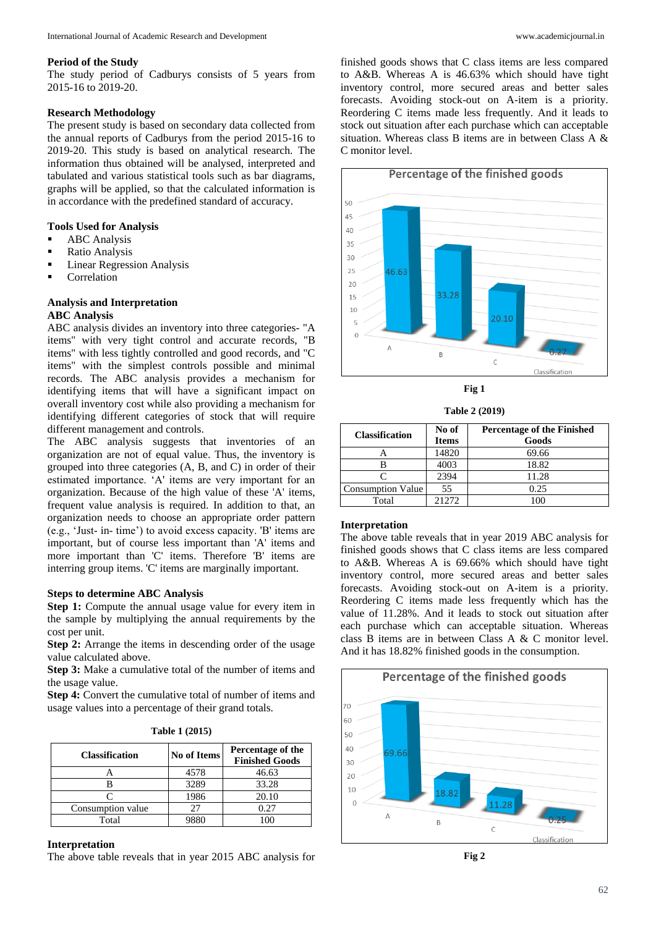## **Period of the Study**

The study period of Cadburys consists of 5 years from 2015-16 to 2019-20.

## **Research Methodology**

The present study is based on secondary data collected from the annual reports of Cadburys from the period 2015-16 to 2019-20. This study is based on analytical research. The information thus obtained will be analysed, interpreted and tabulated and various statistical tools such as bar diagrams, graphs will be applied, so that the calculated information is in accordance with the predefined standard of accuracy.

# **Tools Used for Analysis**

- **ABC** Analysis
- **Ratio Analysis**
- **Linear Regression Analysis**
- **Correlation**

## **Analysis and Interpretation ABC Analysis**

ABC analysis divides an inventory into three categories- "A items" with very tight control and accurate records, "B items" with less tightly controlled and good records, and "C items" with the simplest controls possible and minimal records. The ABC analysis provides a mechanism for identifying items that will have a significant impact on overall inventory cost while also providing a mechanism for identifying different categories of stock that will require different management and controls.

The ABC analysis suggests that inventories of an organization are not of equal value. Thus, the inventory is grouped into three categories (A, B, and C) in order of their estimated importance. 'A' items are very important for an organization. Because of the high value of these 'A' items, frequent value analysis is required. In addition to that, an organization needs to choose an appropriate order pattern (e.g., 'Just- in- time') to avoid excess capacity. 'B' items are important, but of course less important than 'A' items and more important than 'C' items. Therefore 'B' items are interring group items. 'C' items are marginally important.

### **Steps to determine ABC Analysis**

**Step 1:** Compute the annual usage value for every item in the sample by multiplying the annual requirements by the cost per unit.

**Step 2:** Arrange the items in descending order of the usage value calculated above.

**Step 3:** Make a cumulative total of the number of items and the usage value.

**Step 4:** Convert the cumulative total of number of items and usage values into a percentage of their grand totals.

| <b>Table 1 (2015)</b> |
|-----------------------|
|-----------------------|

| <b>Classification</b> | <b>No of Items</b> | Percentage of the<br><b>Finished Goods</b> |  |
|-----------------------|--------------------|--------------------------------------------|--|
|                       | 4578               | 46.63                                      |  |
|                       | 3289               | 33.28                                      |  |
|                       | 1986               | 20.10                                      |  |
| Consumption value     |                    | 0.27                                       |  |
| Total                 |                    |                                            |  |

#### **Interpretation**

The above table reveals that in year 2015 ABC analysis for

finished goods shows that C class items are less compared to A&B. Whereas A is 46.63% which should have tight inventory control, more secured areas and better sales forecasts. Avoiding stock-out on A-item is a priority. Reordering C items made less frequently. And it leads to stock out situation after each purchase which can acceptable situation. Whereas class B items are in between Class A & C monitor level.



**Fig 1**

**Table 2 (2019)**

| <b>Classification</b>    | No of        | <b>Percentage of the Finished</b> |
|--------------------------|--------------|-----------------------------------|
|                          | <b>Items</b> | Goods                             |
|                          | 14820        | 69.66                             |
|                          | 4003         | 18.82                             |
|                          | 2394         | 11.28                             |
| <b>Consumption Value</b> | 55           | 0.25                              |
| Total                    | 21272        | 10C                               |

# **Interpretation**

The above table reveals that in year 2019 ABC analysis for finished goods shows that C class items are less compared to A&B. Whereas A is 69.66% which should have tight inventory control, more secured areas and better sales forecasts. Avoiding stock-out on A-item is a priority. Reordering C items made less frequently which has the value of 11.28%. And it leads to stock out situation after each purchase which can acceptable situation. Whereas class B items are in between Class A & C monitor level. And it has 18.82% finished goods in the consumption.



**Fig 2**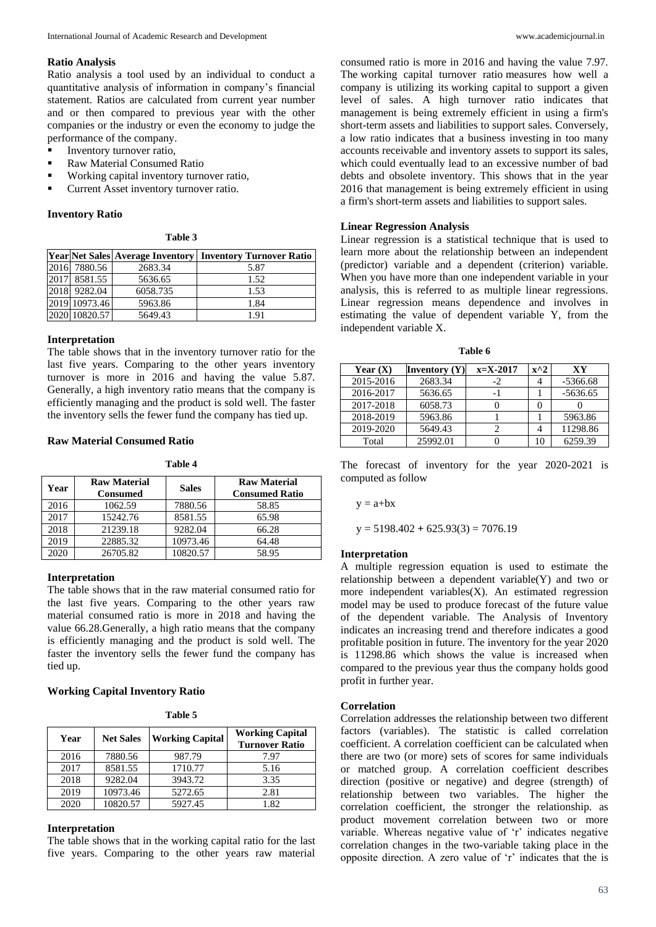#### **Ratio Analysis**

Ratio analysis a tool used by an individual to conduct a quantitative analysis of information in company's financial statement. Ratios are calculated from current year number and or then compared to previous year with the other companies or the industry or even the economy to judge the performance of the company.

- Inventory turnover ratio,
- **Raw Material Consumed Ratio**
- Working capital inventory turnover ratio,
- **Current Asset inventory turnover ratio.**

### **Inventory Ratio**

#### **Table 3**

|               |          | Year Net Sales Average Inventory   Inventory Turnover Ratio |
|---------------|----------|-------------------------------------------------------------|
| 2016 7880.56  | 2683.34  | 5.87                                                        |
| 2017 8581.55  | 5636.65  | 1.52                                                        |
| 2018 9282.04  | 6058.735 | 1.53                                                        |
| 2019 10973.46 | 5963.86  | 1.84                                                        |
| 2020 10820.57 | 5649.43  | 1.91                                                        |

#### **Interpretation**

The table shows that in the inventory turnover ratio for the last five years. Comparing to the other years inventory turnover is more in 2016 and having the value 5.87. Generally, a high inventory ratio means that the company is efficiently managing and the product is sold well. The faster the inventory sells the fewer fund the company has tied up.

## **Raw Material Consumed Ratio**

**Table 4**

| Year | <b>Raw Material</b><br><b>Consumed</b> | <b>Sales</b> | <b>Raw Material</b><br><b>Consumed Ratio</b> |
|------|----------------------------------------|--------------|----------------------------------------------|
| 2016 | 1062.59                                | 7880.56      | 58.85                                        |
| 2017 | 15242.76                               | 8581.55      | 65.98                                        |
| 2018 | 21239.18                               | 9282.04      | 66.28                                        |
| 2019 | 22885.32                               | 10973.46     | 64.48                                        |
| 2020 | 26705.82                               | 10820.57     | 58.95                                        |

## **Interpretation**

The table shows that in the raw material consumed ratio for the last five years. Comparing to the other years raw material consumed ratio is more in 2018 and having the value 66.28.Generally, a high ratio means that the company is efficiently managing and the product is sold well. The faster the inventory sells the fewer fund the company has tied up.

# **Working Capital Inventory Ratio**

**Table 5**

| Year | <b>Net Sales</b> | <b>Working Capital</b> | <b>Working Capital</b><br><b>Turnover Ratio</b> |
|------|------------------|------------------------|-------------------------------------------------|
| 2016 | 7880.56          | 987.79                 | 7.97                                            |
| 2017 | 8581.55          | 1710.77                | 5.16                                            |
| 2018 | 9282.04          | 3943.72                | 3.35                                            |
| 2019 | 10973.46         | 5272.65                | 2.81                                            |
| 2020 | 10820.57         | 5927.45                | 1.82                                            |

## **Interpretation**

The table shows that in the working capital ratio for the last five years. Comparing to the other years raw material

consumed ratio is more in 2016 and having the value 7.97. The working capital turnover ratio measures how well a company is utilizing its working capital to support a given level of sales. A high turnover ratio indicates that management is being extremely efficient in using a firm's short-term assets and liabilities to support sales. Conversely, a low ratio indicates that a business investing in too many accounts receivable and inventory assets to support its sales, which could eventually lead to an excessive number of bad debts and obsolete inventory. This shows that in the year 2016 that management is being extremely efficient in using a firm's short-term assets and liabilities to support sales.

### **Linear Regression Analysis**

Linear regression is a statistical technique that is used to learn more about the relationship between an independent (predictor) variable and a dependent (criterion) variable. When you have more than one independent variable in your analysis, this is referred to as multiple linear regressions. Linear regression means dependence and involves in estimating the value of dependent variable Y, from the independent variable X.

**Table 6**

| Year $(X)$ | <b>Inventory</b> $(Y)$ | $x = X - 2017$ | $x^2$ | XY         |
|------------|------------------------|----------------|-------|------------|
| 2015-2016  | 2683.34                | $-2$           |       | $-5366.68$ |
| 2016-2017  | 5636.65                | - 1            |       | $-5636.65$ |
| 2017-2018  | 6058.73                |                |       |            |
| 2018-2019  | 5963.86                |                |       | 5963.86    |
| 2019-2020  | 5649.43                |                |       | 11298.86   |
| Total      | 25992.01               |                |       | 6259.39    |

The forecast of inventory for the year 2020-2021 is computed as follow

 $y = a + bx$ 

y = 5198.402 **+** 625.93(3) = 7076.19

#### **Interpretation**

A multiple regression equation is used to estimate the relationship between a dependent variable(Y) and two or more independent variables(X). An estimated regression model may be used to produce forecast of the future value of the dependent variable. The Analysis of Inventory indicates an increasing trend and therefore indicates a good profitable position in future. The inventory for the year 2020 is 11298.86 which shows the value is increased when compared to the previous year thus the company holds good profit in further year.

#### **Correlation**

Correlation addresses the relationship between two different factors (variables). The statistic is called correlation coefficient. A correlation coefficient can be calculated when there are two (or more) sets of scores for same individuals or matched group. A correlation coefficient describes direction (positive or negative) and degree (strength) of relationship between two variables. The higher the correlation coefficient, the stronger the relationship. as product movement correlation between two or more variable. Whereas negative value of 'r' indicates negative correlation changes in the two-variable taking place in the opposite direction. A zero value of 'r' indicates that the is